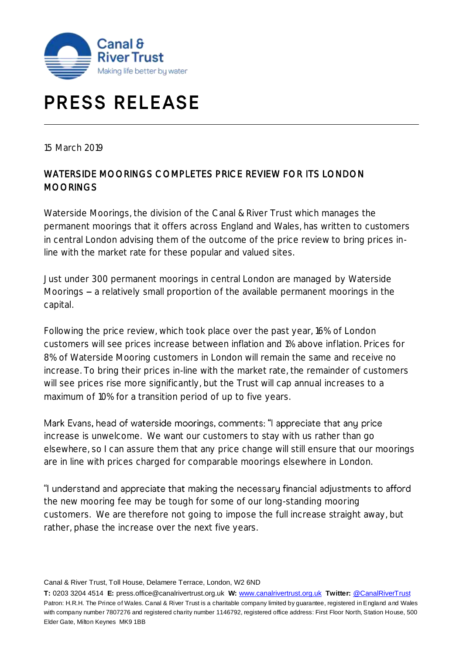

## **PRESS RELEASE**

15 March 2019

## WATERSIDE MOORINGS COMPLETES PRICE REVIEW FOR ITS LONDON MOORINGS

Waterside Moorings, the division of the Canal & River Trust which manages the permanent moorings that it offers across England and Wales, has written to customers in central London advising them of the outcome of the price review to bring prices inline with the market rate for these popular and valued sites.

Just under 300 permanent moorings in central London are managed by Waterside Moorings - a relatively small proportion of the available permanent moorings in the capital.

Following the price review, which took place over the past year, 16% of London customers will see prices increase between inflation and 1% above inflation. Prices for 8% of Waterside Mooring customers in London will remain the same and receive no increase. To bring their prices in-line with the market rate, the remainder of customers will see prices rise more significantly, but the Trust will cap annual increases to a maximum of 10% for a transition period of up to five years.

Mark Evans, head of waterside moorings, comments: "I appreciate that any price increase is unwelcome. We want our customers to stay with us rather than go elsewhere, so I can assure them that any price change will still ensure that our moorings are in line with prices charged for comparable moorings elsewhere in London.

"I understand and appreciate that making the necessary financial adjustments to afford the new mooring fee may be tough for some of our long-standing mooring customers. We are therefore not going to impose the full increase straight away, but rather, phase the increase over the next five years.

Canal & River Trust, Toll House, Delamere Terrace, London, W2 6ND

**T:** 0203 3204 4514 **E:** press.office@canalrivertrust.org.uk **W:** [www.canalrivertrust.org.uk](http://www.canalrivertrust.org.uk/) **Twitter:** [@CanalRiverTrust](https://twitter.com/CanalRiverTrust) Patron: H.R.H. The Prince of Wales. Canal & River Trust is a charitable company limited by guarantee, registered in England and Wales with company number 7807276 and registered charity number 1146792, registered office address: First Floor North, Station House, 500 Elder Gate, Milton Keynes MK9 1BB